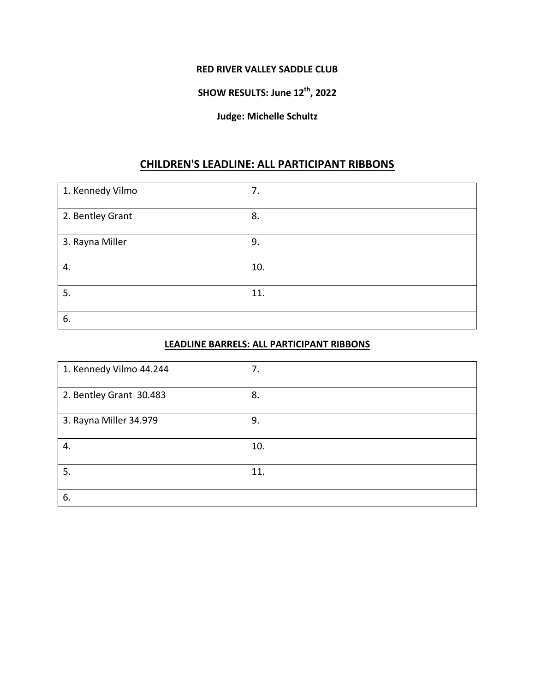#### **RED RIVER VALLEY SADDLE CLUB**

# **SHOW RESULTS: June 12th, 2022**

#### **Judge: Michelle Schultz**

#### **CHILDREN'S LEADLINE: ALL PARTICIPANT RIBBONS**

| 1. Kennedy Vilmo | 7.  |
|------------------|-----|
| 2. Bentley Grant | 8.  |
| 3. Rayna Miller  | 9.  |
| 4.               | 10. |
| 5.               | 11. |
| 6.               |     |

#### **LEADLINE BARRELS: ALL PARTICIPANT RIBBONS**

| 1. Kennedy Vilmo 44.244 | 7.  |
|-------------------------|-----|
| 2. Bentley Grant 30.483 | 8.  |
| 3. Rayna Miller 34.979  | 9.  |
| 4.                      | 10. |
| 5.                      | 11. |
| 6.                      |     |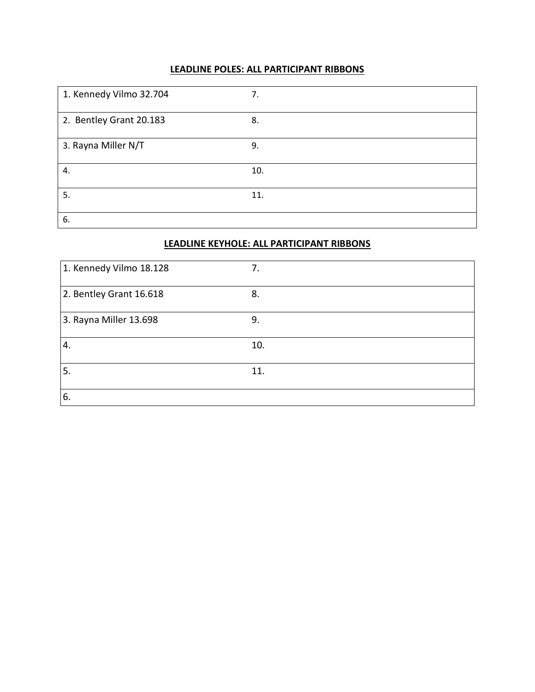### **LEADLINE POLES: ALL PARTICIPANT RIBBONS**

| 1. Kennedy Vilmo 32.704 | 7.  |
|-------------------------|-----|
| 2. Bentley Grant 20.183 | 8.  |
| 3. Rayna Miller N/T     | 9.  |
| 4.                      | 10. |
| 5.                      | 11. |
| 6.                      |     |

#### **LEADLINE KEYHOLE: ALL PARTICIPANT RIBBONS**

| 1. Kennedy Vilmo 18.128 | 7.  |
|-------------------------|-----|
| 2. Bentley Grant 16.618 | 8.  |
| 3. Rayna Miller 13.698  | 9.  |
| 4.                      | 10. |
| 5.                      | 11. |
| 6.                      |     |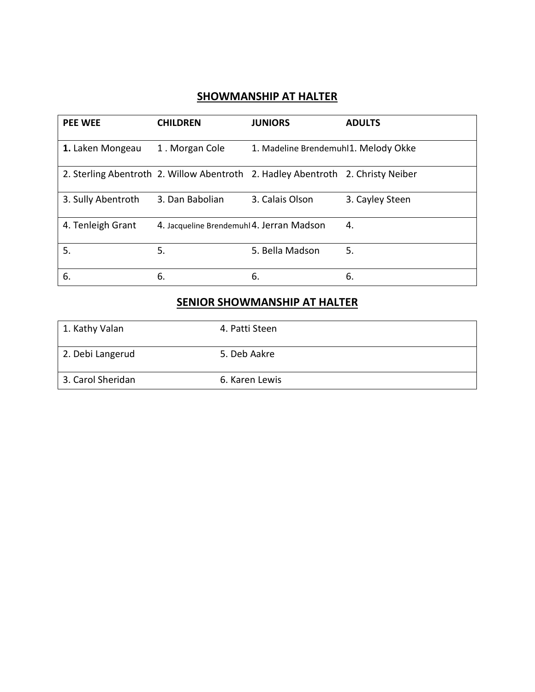### **SHOWMANSHIP AT HALTER**

| <b>PEE WEE</b>     | <b>CHILDREN</b>                           | <b>JUNIORS</b>                                                                  | <b>ADULTS</b>   |
|--------------------|-------------------------------------------|---------------------------------------------------------------------------------|-----------------|
| 1. Laken Mongeau   | 1. Morgan Cole                            | 1. Madeline Brendemuhl1. Melody Okke                                            |                 |
|                    |                                           | 2. Sterling Abentroth 2. Willow Abentroth 2. Hadley Abentroth 2. Christy Neiber |                 |
| 3. Sully Abentroth | 3. Dan Babolian                           | 3. Calais Olson                                                                 | 3. Cayley Steen |
| 4. Tenleigh Grant  | 4. Jacqueline Brendemuhl 4. Jerran Madson |                                                                                 | 4.              |
| 5.                 | 5.                                        | 5. Bella Madson                                                                 | 5.              |
| 6.                 | 6.                                        | 6.                                                                              | 6.              |

## **SENIOR SHOWMANSHIP AT HALTER**

| 1. Kathy Valan    | 4. Patti Steen |
|-------------------|----------------|
| 2. Debi Langerud  | 5. Deb Aakre   |
| 3. Carol Sheridan | 6. Karen Lewis |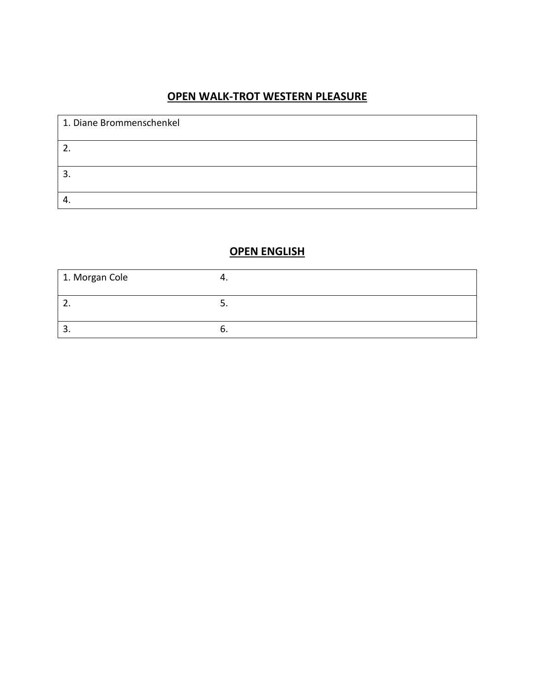## **OPEN WALK-TROT WESTERN PLEASURE**

| 1. Diane Brommenschenkel |  |
|--------------------------|--|
| 2.                       |  |
| э.                       |  |
|                          |  |

## **OPEN ENGLISH**

| 1. Morgan Cole |  |
|----------------|--|
| <u>.</u>       |  |
| . پ            |  |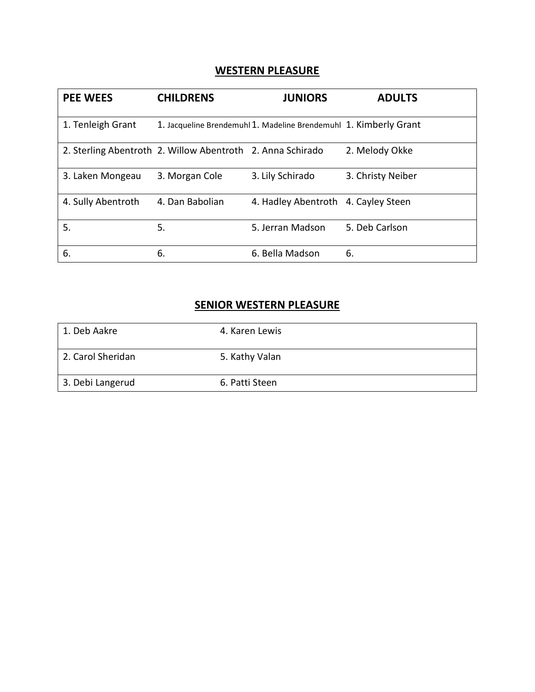#### **WESTERN PLEASURE**

| <b>PEE WEES</b>    | <b>CHILDRENS</b>                                           | <b>JUNIORS</b>                                                    | <b>ADULTS</b>     |
|--------------------|------------------------------------------------------------|-------------------------------------------------------------------|-------------------|
| 1. Tenleigh Grant  |                                                            | 1. Jacqueline Brendemuhl 1. Madeline Brendemuhl 1. Kimberly Grant |                   |
|                    | 2. Sterling Abentroth 2. Willow Abentroth 2. Anna Schirado |                                                                   | 2. Melody Okke    |
| 3. Laken Mongeau   | 3. Morgan Cole                                             | 3. Lily Schirado                                                  | 3. Christy Neiber |
| 4. Sully Abentroth | 4. Dan Babolian                                            | 4. Hadley Abentroth 4. Cayley Steen                               |                   |
| 5.                 | 5.                                                         | 5. Jerran Madson                                                  | 5. Deb Carlson    |
| 6.                 | 6.                                                         | 6. Bella Madson                                                   | 6.                |

# **SENIOR WESTERN PLEASURE**

| 1. Deb Aakre      | 4. Karen Lewis |
|-------------------|----------------|
| 2. Carol Sheridan | 5. Kathy Valan |
| 3. Debi Langerud  | 6. Patti Steen |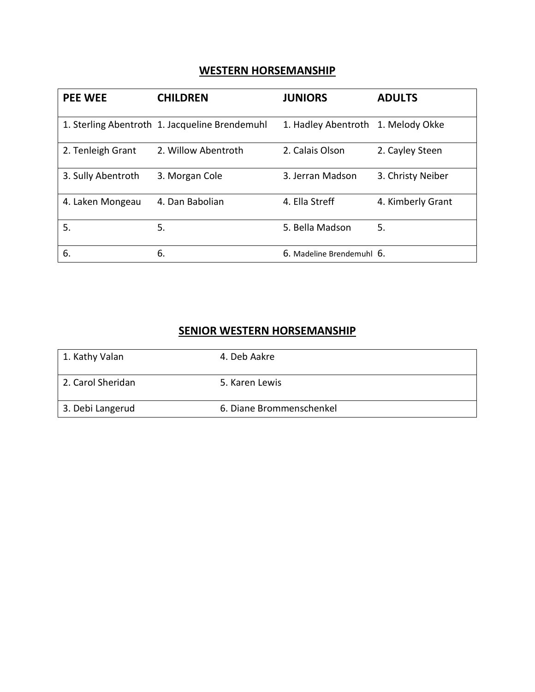## **WESTERN HORSEMANSHIP**

| <b>PEE WEE</b>     | <b>CHILDREN</b>                                | <b>JUNIORS</b>            | <b>ADULTS</b>     |
|--------------------|------------------------------------------------|---------------------------|-------------------|
|                    | 1. Sterling Abentroth 1. Jacqueline Brendemuhl | 1. Hadley Abentroth       | 1. Melody Okke    |
| 2. Tenleigh Grant  | 2. Willow Abentroth                            | 2. Calais Olson           | 2. Cayley Steen   |
| 3. Sully Abentroth | 3. Morgan Cole                                 | 3. Jerran Madson          | 3. Christy Neiber |
| 4. Laken Mongeau   | 4. Dan Babolian                                | 4. Ella Streff            | 4. Kimberly Grant |
| 5.                 | 5.                                             | 5. Bella Madson           | 5.                |
| 6.                 | 6.                                             | 6. Madeline Brendemuhl 6. |                   |

## **SENIOR WESTERN HORSEMANSHIP**

| 1. Kathy Valan    | 4. Deb Aakre             |
|-------------------|--------------------------|
| 2. Carol Sheridan | 5. Karen Lewis           |
| 3. Debi Langerud  | 6. Diane Brommenschenkel |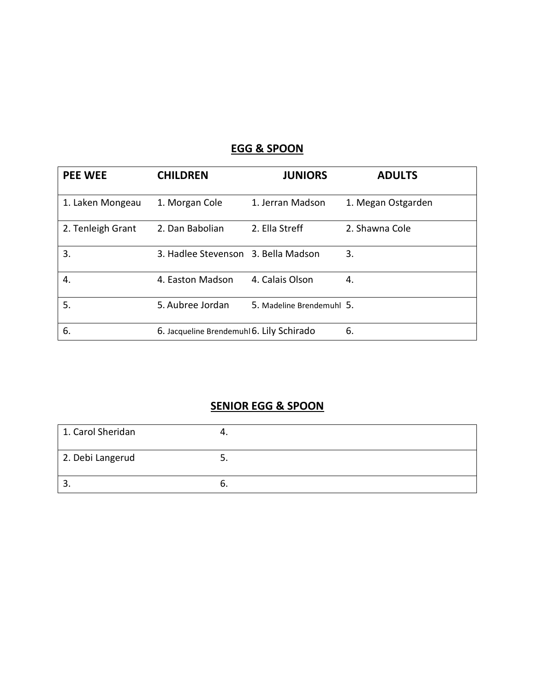# **EGG & SPOON**

| <b>PEE WEE</b>    | <b>CHILDREN</b>                           | <b>JUNIORS</b>            | <b>ADULTS</b>      |
|-------------------|-------------------------------------------|---------------------------|--------------------|
| 1. Laken Mongeau  | 1. Morgan Cole                            | 1. Jerran Madson          | 1. Megan Ostgarden |
| 2. Tenleigh Grant | 2. Dan Babolian                           | 2. Ella Streff            | 2. Shawna Cole     |
| 3.                | 3. Hadlee Stevenson 3. Bella Madson       |                           | 3.                 |
| 4.                | 4. Easton Madson                          | 4. Calais Olson           | 4.                 |
| 5.                | 5. Aubree Jordan                          | 5. Madeline Brendemuhl 5. |                    |
| 6.                | 6. Jacqueline Brendemuhl 6. Lily Schirado |                           | 6.                 |

# **SENIOR EGG & SPOON**

| 1. Carol Sheridan |  |
|-------------------|--|
| 2. Debi Langerud  |  |
|                   |  |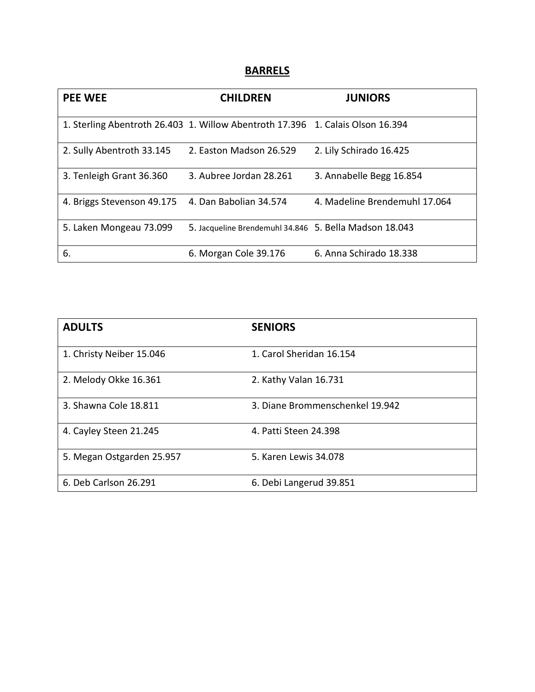### **BARRELS**

| <b>PEE WEE</b>                                    | <b>CHILDREN</b>                                                                | <b>JUNIORS</b>                |
|---------------------------------------------------|--------------------------------------------------------------------------------|-------------------------------|
|                                                   | 1. Sterling Abentroth 26.403 1. Willow Abentroth 17.396 1. Calais Olson 16.394 |                               |
| 2. Sully Abentroth 33.145                         | 2. Easton Madson 26.529                                                        | 2. Lily Schirado 16.425       |
| 3. Tenleigh Grant 36.360                          | 3. Aubree Jordan 28.261                                                        | 3. Annabelle Begg 16.854      |
| 4. Briggs Stevenson 49.175 4. Dan Babolian 34.574 |                                                                                | 4. Madeline Brendemuhl 17.064 |
| 5. Laken Mongeau 73.099                           | 5. Jacqueline Brendemuhl 34.846 5. Bella Madson 18.043                         |                               |
| 6.                                                | 6. Morgan Cole 39.176                                                          | 6. Anna Schirado 18.338       |

| <b>ADULTS</b>             | <b>SENIORS</b>                  |
|---------------------------|---------------------------------|
| 1. Christy Neiber 15.046  | 1. Carol Sheridan 16.154        |
| 2. Melody Okke 16.361     | 2. Kathy Valan 16.731           |
| 3. Shawna Cole 18.811     | 3. Diane Brommenschenkel 19.942 |
| 4. Cayley Steen 21.245    | 4. Patti Steen 24.398           |
| 5. Megan Ostgarden 25.957 | 5. Karen Lewis 34.078           |
| 6. Deb Carlson 26.291     | 6. Debi Langerud 39.851         |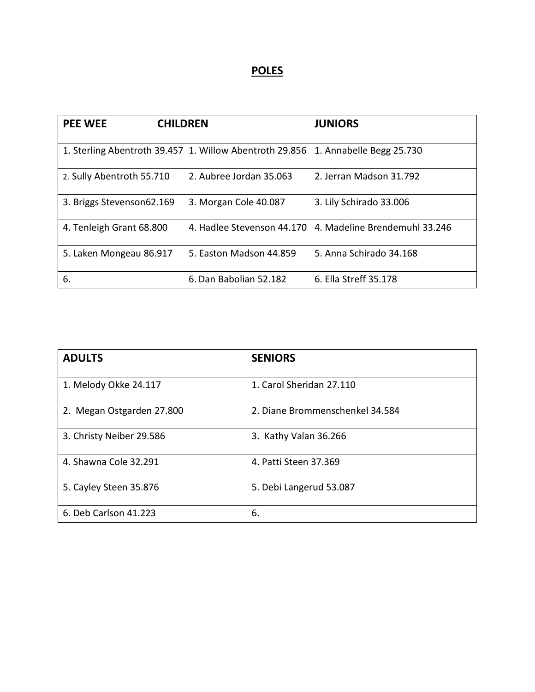# **POLES**

| <b>PEE WEE</b><br><b>CHILDREN</b> |                                                                                  | <b>JUNIORS</b>                                           |
|-----------------------------------|----------------------------------------------------------------------------------|----------------------------------------------------------|
|                                   | 1. Sterling Abentroth 39.457 1. Willow Abentroth 29.856 1. Annabelle Begg 25.730 |                                                          |
| 2. Sully Abentroth 55.710         | 2. Aubree Jordan 35.063                                                          | 2. Jerran Madson 31.792                                  |
| 3. Briggs Stevenson62.169         | 3. Morgan Cole 40.087                                                            | 3. Lily Schirado 33.006                                  |
| 4. Tenleigh Grant 68.800          |                                                                                  | 4. Hadlee Stevenson 44.170 4. Madeline Brendemuhl 33.246 |
| 5. Laken Mongeau 86.917           | 5. Easton Madson 44.859                                                          | 5. Anna Schirado 34.168                                  |
| 6.                                | 6. Dan Babolian 52.182                                                           | 6. Ella Streff 35.178                                    |

| <b>ADULTS</b>             | <b>SENIORS</b>                  |
|---------------------------|---------------------------------|
| 1. Melody Okke 24.117     | 1. Carol Sheridan 27.110        |
| 2. Megan Ostgarden 27.800 | 2. Diane Brommenschenkel 34.584 |
| 3. Christy Neiber 29.586  | 3. Kathy Valan 36.266           |
| 4. Shawna Cole 32.291     | 4. Patti Steen 37.369           |
| 5. Cayley Steen 35.876    | 5. Debi Langerud 53.087         |
| 6. Deb Carlson 41.223     | 6.                              |